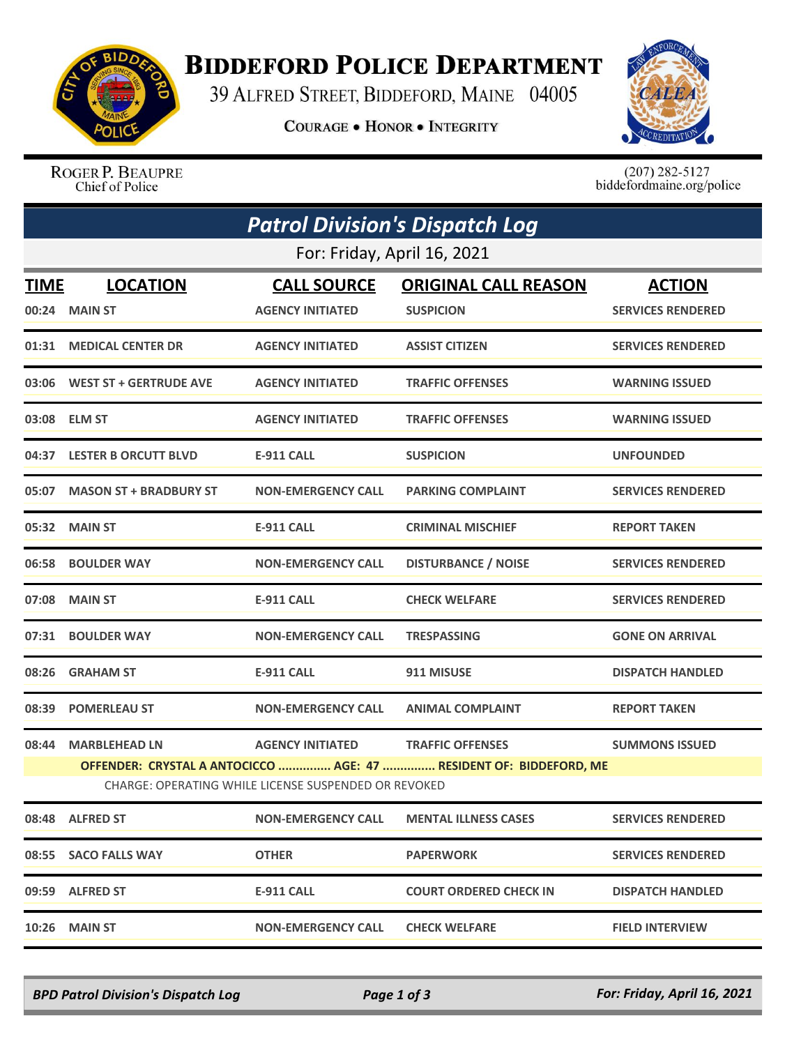

## **BIDDEFORD POLICE DEPARTMENT**

39 ALFRED STREET, BIDDEFORD, MAINE 04005

**COURAGE . HONOR . INTEGRITY** 



ROGER P. BEAUPRE Chief of Police

 $(207)$  282-5127<br>biddefordmaine.org/police

| <b>Patrol Division's Dispatch Log</b> |                                                                                                                                                                                                                                   |                           |                               |                          |  |  |  |  |
|---------------------------------------|-----------------------------------------------------------------------------------------------------------------------------------------------------------------------------------------------------------------------------------|---------------------------|-------------------------------|--------------------------|--|--|--|--|
| For: Friday, April 16, 2021           |                                                                                                                                                                                                                                   |                           |                               |                          |  |  |  |  |
| <b>TIME</b>                           | <b>LOCATION</b>                                                                                                                                                                                                                   | <b>CALL SOURCE</b>        | <b>ORIGINAL CALL REASON</b>   | <b>ACTION</b>            |  |  |  |  |
|                                       | 00:24 MAIN ST                                                                                                                                                                                                                     | <b>AGENCY INITIATED</b>   | <b>SUSPICION</b>              | <b>SERVICES RENDERED</b> |  |  |  |  |
|                                       | 01:31 MEDICAL CENTER DR                                                                                                                                                                                                           | <b>AGENCY INITIATED</b>   | <b>ASSIST CITIZEN</b>         | <b>SERVICES RENDERED</b> |  |  |  |  |
|                                       | 03:06 WEST ST + GERTRUDE AVE                                                                                                                                                                                                      | <b>AGENCY INITIATED</b>   | <b>TRAFFIC OFFENSES</b>       | <b>WARNING ISSUED</b>    |  |  |  |  |
|                                       | 03:08 ELM ST                                                                                                                                                                                                                      | <b>AGENCY INITIATED</b>   | <b>TRAFFIC OFFENSES</b>       | <b>WARNING ISSUED</b>    |  |  |  |  |
|                                       | 04:37 LESTER B ORCUTT BLVD                                                                                                                                                                                                        | E-911 CALL                | <b>SUSPICION</b>              | <b>UNFOUNDED</b>         |  |  |  |  |
|                                       | 05:07 MASON ST + BRADBURY ST                                                                                                                                                                                                      | <b>NON-EMERGENCY CALL</b> | <b>PARKING COMPLAINT</b>      | <b>SERVICES RENDERED</b> |  |  |  |  |
|                                       | 05:32 MAIN ST                                                                                                                                                                                                                     | <b>E-911 CALL</b>         | <b>CRIMINAL MISCHIEF</b>      | <b>REPORT TAKEN</b>      |  |  |  |  |
|                                       | 06:58 BOULDER WAY                                                                                                                                                                                                                 | <b>NON-EMERGENCY CALL</b> | <b>DISTURBANCE / NOISE</b>    | <b>SERVICES RENDERED</b> |  |  |  |  |
|                                       | 07:08 MAIN ST                                                                                                                                                                                                                     | <b>E-911 CALL</b>         | <b>CHECK WELFARE</b>          | <b>SERVICES RENDERED</b> |  |  |  |  |
|                                       | 07:31 BOULDER WAY                                                                                                                                                                                                                 | <b>NON-EMERGENCY CALL</b> | <b>TRESPASSING</b>            | <b>GONE ON ARRIVAL</b>   |  |  |  |  |
|                                       | 08:26 GRAHAM ST                                                                                                                                                                                                                   | E-911 CALL                | 911 MISUSE                    | <b>DISPATCH HANDLED</b>  |  |  |  |  |
| 08:39                                 | <b>POMERLEAU ST</b>                                                                                                                                                                                                               | <b>NON-EMERGENCY CALL</b> | <b>ANIMAL COMPLAINT</b>       | <b>REPORT TAKEN</b>      |  |  |  |  |
| 08:44                                 | <b>MARBLEHEAD LN</b><br><b>AGENCY INITIATED</b><br><b>TRAFFIC OFFENSES</b><br><b>SUMMONS ISSUED</b><br>OFFENDER: CRYSTAL A ANTOCICCO  AGE: 47  RESIDENT OF: BIDDEFORD, ME<br>CHARGE: OPERATING WHILE LICENSE SUSPENDED OR REVOKED |                           |                               |                          |  |  |  |  |
|                                       | 08:48 ALFRED ST                                                                                                                                                                                                                   | <b>NON-EMERGENCY CALL</b> | <b>MENTAL ILLNESS CASES</b>   | <b>SERVICES RENDERED</b> |  |  |  |  |
|                                       | 08:55 SACO FALLS WAY                                                                                                                                                                                                              | <b>OTHER</b>              | <b>PAPERWORK</b>              | <b>SERVICES RENDERED</b> |  |  |  |  |
|                                       | 09:59 ALFRED ST                                                                                                                                                                                                                   | <b>E-911 CALL</b>         | <b>COURT ORDERED CHECK IN</b> | <b>DISPATCH HANDLED</b>  |  |  |  |  |
|                                       | <b>10:26 MAIN ST</b>                                                                                                                                                                                                              | <b>NON-EMERGENCY CALL</b> | <b>CHECK WELFARE</b>          | <b>FIELD INTERVIEW</b>   |  |  |  |  |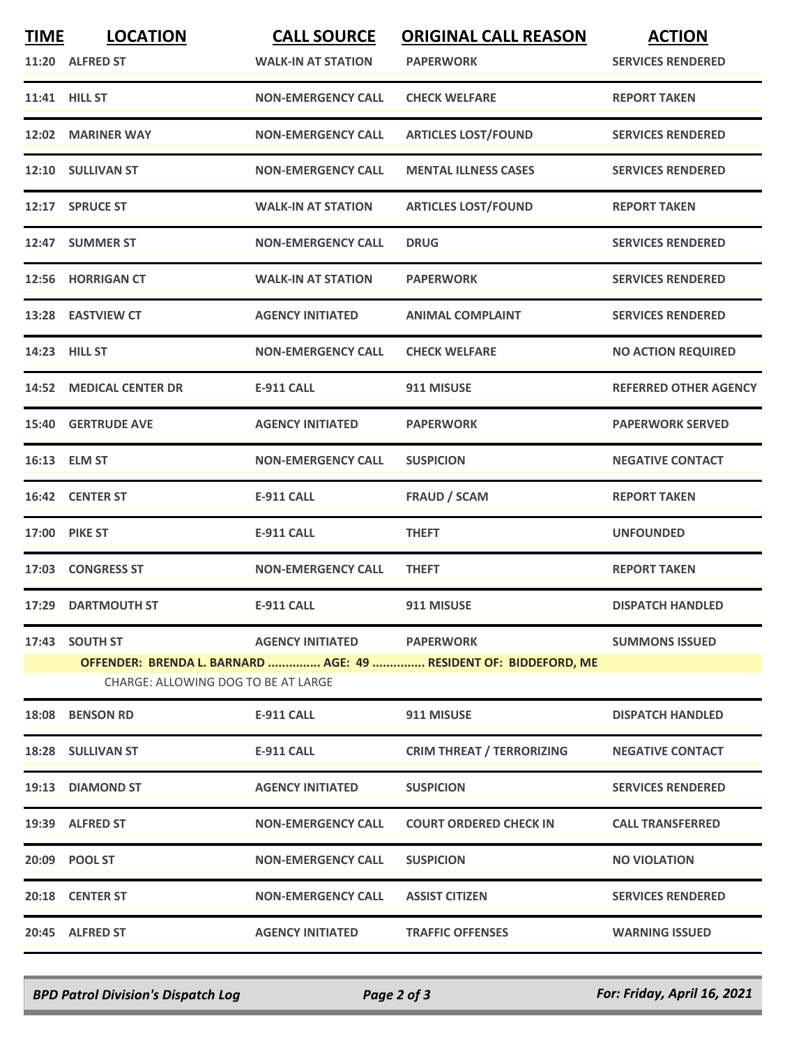| <b>TIME</b> | <b>LOCATION</b><br>11:20 ALFRED ST                    | <b>CALL SOURCE</b><br><b>WALK-IN AT STATION</b> | <b>ORIGINAL CALL REASON</b><br><b>PAPERWORK</b>                                      | <b>ACTION</b><br><b>SERVICES RENDERED</b> |
|-------------|-------------------------------------------------------|-------------------------------------------------|--------------------------------------------------------------------------------------|-------------------------------------------|
|             | 11:41 HILL ST                                         | <b>NON-EMERGENCY CALL</b>                       | <b>CHECK WELFARE</b>                                                                 | <b>REPORT TAKEN</b>                       |
|             | 12:02 MARINER WAY                                     | <b>NON-EMERGENCY CALL</b>                       | <b>ARTICLES LOST/FOUND</b>                                                           | <b>SERVICES RENDERED</b>                  |
|             | 12:10 SULLIVAN ST                                     | <b>NON-EMERGENCY CALL</b>                       | <b>MENTAL ILLNESS CASES</b>                                                          | <b>SERVICES RENDERED</b>                  |
|             | 12:17 SPRUCE ST                                       | <b>WALK-IN AT STATION</b>                       | <b>ARTICLES LOST/FOUND</b>                                                           | <b>REPORT TAKEN</b>                       |
|             | 12:47 SUMMER ST                                       | <b>NON-EMERGENCY CALL</b>                       | <b>DRUG</b>                                                                          | <b>SERVICES RENDERED</b>                  |
|             | 12:56 HORRIGAN CT                                     | <b>WALK-IN AT STATION</b>                       | <b>PAPERWORK</b>                                                                     | <b>SERVICES RENDERED</b>                  |
|             | 13:28 EASTVIEW CT                                     | <b>AGENCY INITIATED</b>                         | <b>ANIMAL COMPLAINT</b>                                                              | <b>SERVICES RENDERED</b>                  |
|             | 14:23 HILL ST                                         | <b>NON-EMERGENCY CALL</b>                       | <b>CHECK WELFARE</b>                                                                 | <b>NO ACTION REQUIRED</b>                 |
|             | <b>14:52 MEDICAL CENTER DR</b>                        | <b>E-911 CALL</b>                               | 911 MISUSE                                                                           | <b>REFERRED OTHER AGENCY</b>              |
|             | <b>15:40 GERTRUDE AVE</b>                             | <b>AGENCY INITIATED</b>                         | <b>PAPERWORK</b>                                                                     | <b>PAPERWORK SERVED</b>                   |
|             | 16:13 ELM ST                                          | <b>NON-EMERGENCY CALL</b>                       | <b>SUSPICION</b>                                                                     | <b>NEGATIVE CONTACT</b>                   |
|             | 16:42 CENTER ST                                       | E-911 CALL                                      | <b>FRAUD / SCAM</b>                                                                  | <b>REPORT TAKEN</b>                       |
|             | <b>17:00 PIKE ST</b>                                  | <b>E-911 CALL</b>                               | <b>THEFT</b>                                                                         | <b>UNFOUNDED</b>                          |
|             | 17:03 CONGRESS ST                                     | <b>NON-EMERGENCY CALL</b>                       | <b>THEFT</b>                                                                         | <b>REPORT TAKEN</b>                       |
|             | 17:29 DARTMOUTH ST                                    | <b>E-911 CALL</b>                               | 911 MISUSE                                                                           | <b>DISPATCH HANDLED</b>                   |
|             | 17:43 SOUTH ST<br>CHARGE: ALLOWING DOG TO BE AT LARGE | <b>AGENCY INITIATED</b>                         | <b>PAPERWORK</b><br>OFFENDER: BRENDA L. BARNARD  AGE: 49  RESIDENT OF: BIDDEFORD, ME | <b>SUMMONS ISSUED</b>                     |
| 18:08       | <b>BENSON RD</b>                                      | <b>E-911 CALL</b>                               | 911 MISUSE                                                                           | <b>DISPATCH HANDLED</b>                   |
|             | 18:28 SULLIVAN ST                                     | <b>E-911 CALL</b>                               | <b>CRIM THREAT / TERRORIZING</b>                                                     | <b>NEGATIVE CONTACT</b>                   |
|             | 19:13 DIAMOND ST                                      | <b>AGENCY INITIATED</b>                         | <b>SUSPICION</b>                                                                     | <b>SERVICES RENDERED</b>                  |
|             | 19:39 ALFRED ST                                       | <b>NON-EMERGENCY CALL</b>                       | <b>COURT ORDERED CHECK IN</b>                                                        | <b>CALL TRANSFERRED</b>                   |
|             | 20:09 POOL ST                                         | <b>NON-EMERGENCY CALL</b>                       | <b>SUSPICION</b>                                                                     | <b>NO VIOLATION</b>                       |
|             | 20:18 CENTER ST                                       | <b>NON-EMERGENCY CALL</b>                       | <b>ASSIST CITIZEN</b>                                                                | <b>SERVICES RENDERED</b>                  |
|             | 20:45 ALFRED ST                                       | <b>AGENCY INITIATED</b>                         | <b>TRAFFIC OFFENSES</b>                                                              | <b>WARNING ISSUED</b>                     |

*BPD Patrol Division's Dispatch Log Page 2 of 3 For: Friday, April 16, 2021*